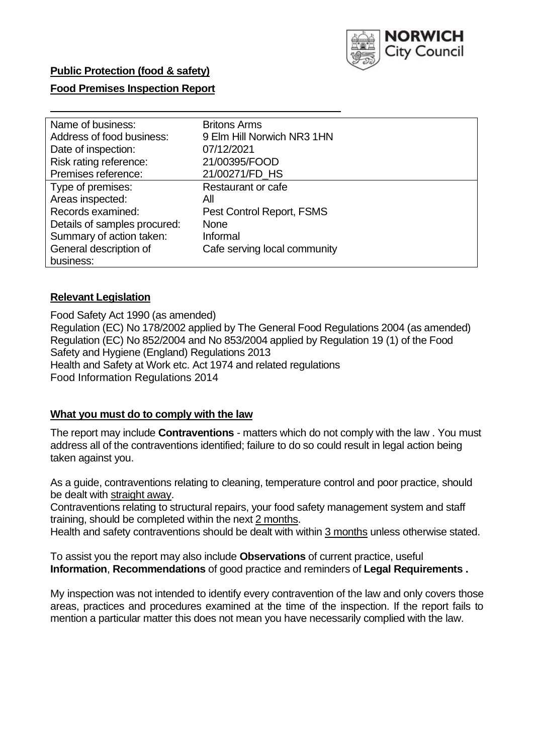

# **Public Protection (food & safety)**

### **Food Premises Inspection Report**

| Name of business:            | <b>Britons Arms</b>          |
|------------------------------|------------------------------|
| Address of food business:    | 9 Elm Hill Norwich NR3 1HN   |
| Date of inspection:          | 07/12/2021                   |
| Risk rating reference:       | 21/00395/FOOD                |
| Premises reference:          | 21/00271/FD_HS               |
| Type of premises:            | <b>Restaurant or cafe</b>    |
| Areas inspected:             | All                          |
| Records examined:            | Pest Control Report, FSMS    |
| Details of samples procured: | <b>None</b>                  |
| Summary of action taken:     | Informal                     |
| General description of       | Cafe serving local community |
| business:                    |                              |

### **Relevant Legislation**

 Food Safety Act 1990 (as amended) Regulation (EC) No 178/2002 applied by The General Food Regulations 2004 (as amended) Regulation (EC) No 852/2004 and No 853/2004 applied by Regulation 19 (1) of the Food Safety and Hygiene (England) Regulations 2013 Health and Safety at Work etc. Act 1974 and related regulations Food Information Regulations 2014

### **What you must do to comply with the law**

 The report may include **Contraventions** - matters which do not comply with the law . You must address all of the contraventions identified; failure to do so could result in legal action being taken against you.

 As a guide, contraventions relating to cleaning, temperature control and poor practice, should be dealt with straight away.

 Contraventions relating to structural repairs, your food safety management system and staff training, should be completed within the next 2 months.

Health and safety contraventions should be dealt with within 3 months unless otherwise stated.

 To assist you the report may also include **Observations** of current practice, useful **Information**, **Recommendations** of good practice and reminders of **Legal Requirements .** 

 My inspection was not intended to identify every contravention of the law and only covers those areas, practices and procedures examined at the time of the inspection. If the report fails to mention a particular matter this does not mean you have necessarily complied with the law.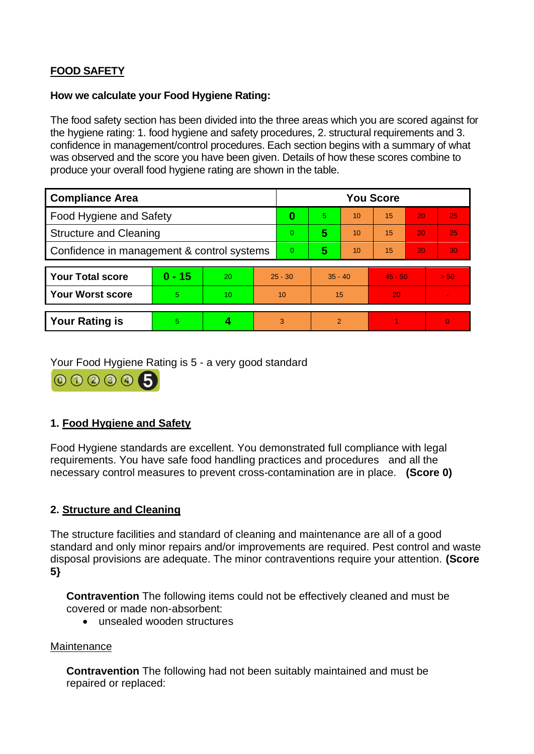# **FOOD SAFETY**

# **How we calculate your Food Hygiene Rating:**

 The food safety section has been divided into the three areas which you are scored against for the hygiene rating: 1. food hygiene and safety procedures, 2. structural requirements and 3. confidence in management/control procedures. Each section begins with a summary of what was observed and the score you have been given. Details of how these scores combine to produce your overall food hygiene rating are shown in the table.

| <b>Compliance Area</b>                     |          |    |           | <b>You Score</b> |                |    |           |    |          |  |  |
|--------------------------------------------|----------|----|-----------|------------------|----------------|----|-----------|----|----------|--|--|
| <b>Food Hygiene and Safety</b>             |          |    |           | 0                | 5              | 10 | 15        | 20 | 25       |  |  |
| <b>Structure and Cleaning</b>              |          |    |           | $\overline{0}$   | 5              | 10 | 15        | 20 | 25       |  |  |
| Confidence in management & control systems |          |    |           | $\Omega$         | 5              | 10 | 15        | 20 | 30       |  |  |
|                                            |          |    |           |                  |                |    |           |    |          |  |  |
| <b>Your Total score</b>                    | $0 - 15$ | 20 | $25 - 30$ |                  | $35 - 40$      |    | $45 - 50$ |    | > 50     |  |  |
| <b>Your Worst score</b>                    | 5        | 10 | 10        |                  | 15             |    | 20        |    |          |  |  |
|                                            |          |    |           |                  |                |    |           |    |          |  |  |
| <b>Your Rating is</b>                      | 5        |    |           | 3                | $\overline{2}$ |    |           |    | $\Omega$ |  |  |

Your Food Hygiene Rating is 5 - a very good standard

000005

# **1. Food Hygiene and Safety**

 requirements. You have safe food handling practices and procedures and all the Food Hygiene standards are excellent. You demonstrated full compliance with legal necessary control measures to prevent cross-contamination are in place. **(Score 0)** 

# **2. Structure and Cleaning**

The structure facilities and standard of cleaning and maintenance are all of a good standard and only minor repairs and/or improvements are required. Pest control and waste disposal provisions are adequate. The minor contraventions require your attention. **(Score 5}** 

**Contravention** The following items could not be effectively cleaned and must be covered or made non-absorbent:

• unsealed wooden structures

### **Maintenance**

**Contravention** The following had not been suitably maintained and must be repaired or replaced: